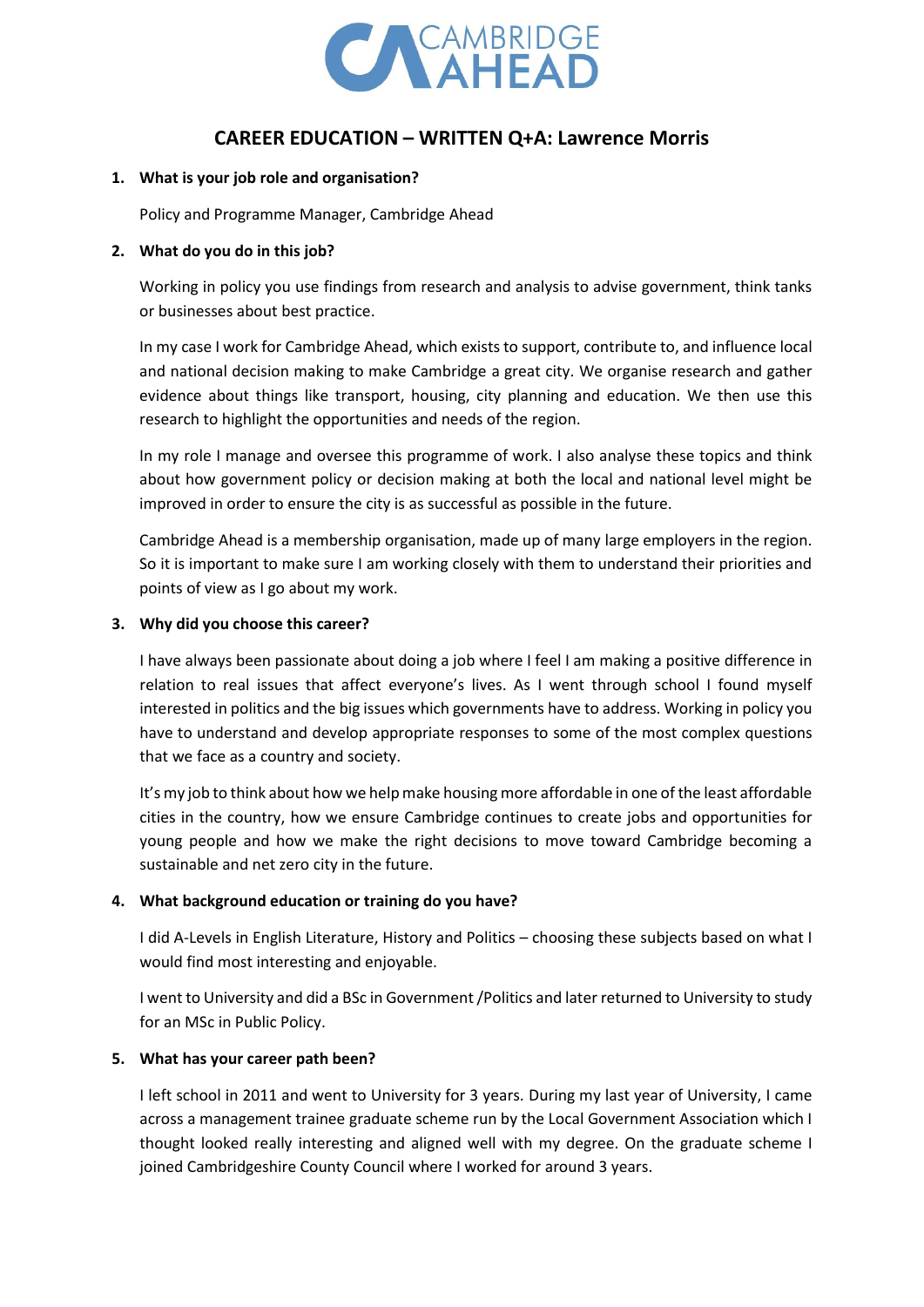

# **CAREER EDUCATION – WRITTEN Q+A: Lawrence Morris**

#### **1. What is your job role and organisation?**

Policy and Programme Manager, Cambridge Ahead

## **2. What do you do in this job?**

Working in policy you use findings from research and analysis to advise government, think tanks or businesses about best practice.

In my case I work for Cambridge Ahead, which exists to support, contribute to, and influence local and national decision making to make Cambridge a great city. We organise research and gather evidence about things like transport, housing, city planning and education. We then use this research to highlight the opportunities and needs of the region.

In my role I manage and oversee this programme of work. I also analyse these topics and think about how government policy or decision making at both the local and national level might be improved in order to ensure the city is as successful as possible in the future.

Cambridge Ahead is a membership organisation, made up of many large employers in the region. So it is important to make sure I am working closely with them to understand their priorities and points of view as I go about my work.

## **3. Why did you choose this career?**

I have always been passionate about doing a job where I feel I am making a positive difference in relation to real issues that affect everyone's lives. As I went through school I found myself interested in politics and the big issues which governments have to address. Working in policy you have to understand and develop appropriate responses to some of the most complex questions that we face as a country and society.

It's my job to think about how we help make housing more affordable in one of the least affordable cities in the country, how we ensure Cambridge continues to create jobs and opportunities for young people and how we make the right decisions to move toward Cambridge becoming a sustainable and net zero city in the future.

# **4. What background education or training do you have?**

I did A-Levels in English Literature, History and Politics – choosing these subjects based on what I would find most interesting and enjoyable.

I went to University and did a BSc in Government /Politics and later returned to University to study for an MSc in Public Policy.

# **5. What has your career path been?**

I left school in 2011 and went to University for 3 years. During my last year of University, I came across a management trainee graduate scheme run by the Local Government Association which I thought looked really interesting and aligned well with my degree. On the graduate scheme I joined Cambridgeshire County Council where I worked for around 3 years.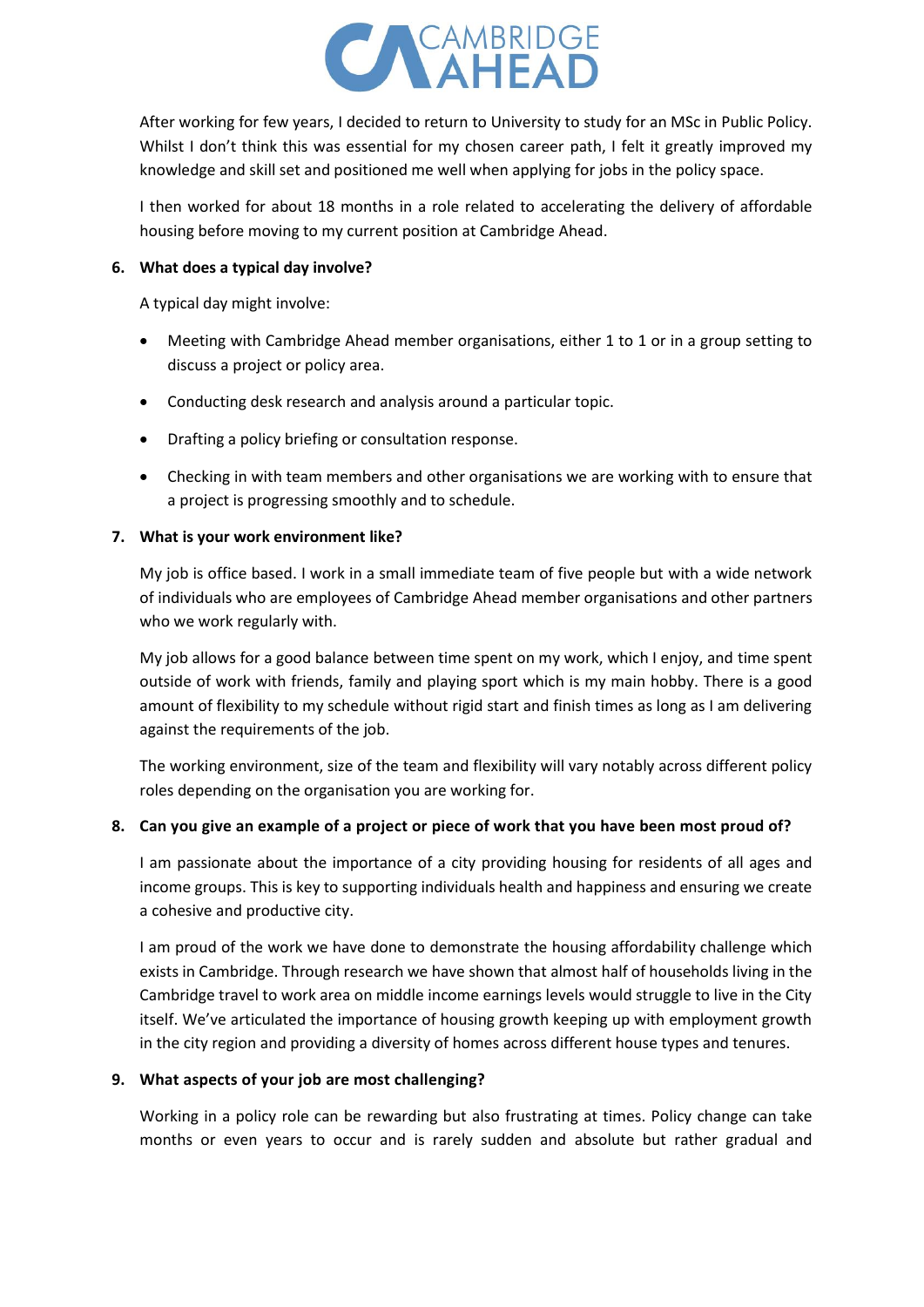

After working for few years, I decided to return to University to study for an MSc in Public Policy. Whilst I don't think this was essential for my chosen career path, I felt it greatly improved my knowledge and skill set and positioned me well when applying for jobs in the policy space.

I then worked for about 18 months in a role related to accelerating the delivery of affordable housing before moving to my current position at Cambridge Ahead.

#### **6. What does a typical day involve?**

A typical day might involve:

- Meeting with Cambridge Ahead member organisations, either 1 to 1 or in a group setting to discuss a project or policy area.
- Conducting desk research and analysis around a particular topic.
- Drafting a policy briefing or consultation response.
- Checking in with team members and other organisations we are working with to ensure that a project is progressing smoothly and to schedule.

# **7. What is your work environment like?**

My job is office based. I work in a small immediate team of five people but with a wide network of individuals who are employees of Cambridge Ahead member organisations and other partners who we work regularly with.

My job allows for a good balance between time spent on my work, which I enjoy, and time spent outside of work with friends, family and playing sport which is my main hobby. There is a good amount of flexibility to my schedule without rigid start and finish times as long as I am delivering against the requirements of the job.

The working environment, size of the team and flexibility will vary notably across different policy roles depending on the organisation you are working for.

# **8. Can you give an example of a project or piece of work that you have been most proud of?**

I am passionate about the importance of a city providing housing for residents of all ages and income groups. This is key to supporting individuals health and happiness and ensuring we create a cohesive and productive city.

I am proud of the work we have done to demonstrate the housing affordability challenge which exists in Cambridge. Through research we have shown that almost half of households living in the Cambridge travel to work area on middle income earnings levels would struggle to live in the City itself. We've articulated the importance of housing growth keeping up with employment growth in the city region and providing a diversity of homes across different house types and tenures.

# **9. What aspects of your job are most challenging?**

Working in a policy role can be rewarding but also frustrating at times. Policy change can take months or even years to occur and is rarely sudden and absolute but rather gradual and